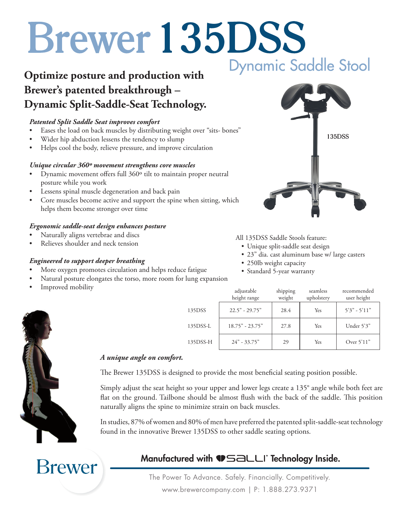# **Brewer 135DSS Dynamic Saddle Stool**

## **Optimize posture and production with Brewer's patented breakthrough – Dynamic Split-Saddle-Seat Technology.**

## *Patented Split Saddle Seat improves comfort*

- Eases the load on back muscles by distributing weight over "sits- bones"
- Wider hip abduction lessens the tendency to slump
- Helps cool the body, relieve pressure, and improve circulation

### *Unique circular 360º movement strengthens core muscles*

- • Dynamic movement offers full 360º tilt to maintain proper neutral posture while you work
- • Lessens spinal muscle degeneration and back pain
- Core muscles become active and support the spine when sitting, which helps them become stronger over time

### *Ergonomic saddle-seat design enhances posture*

- Naturally aligns vertebrae and discs
- Relieves shoulder and neck tension

### *Engineered to support deeper breathing*

- More oxygen promotes circulation and helps reduce fatigue
- Natural posture elongates the torso, more room for lung expansion

*A unique angle on comfort.*

Improved mobility





Simply adjust the seat height so your upper and lower legs create a 135° angle while both feet are flat on the ground. Tailbone should be almost flush with the back of the saddle. This position naturally aligns the spine to minimize strain on back muscles.

In studies, 87% of women and 80% of men have preferred the patented split-saddle-seat technology found in the innovative Brewer 135DSS to other saddle seating options.

**Brewer** 

## Manufactured with **ID**SALLI Technology Inside.

The Power To Advance. Safely. Financially. Competitively. www.brewercompany.com | P: 1.888.273.9371



All 135DSS Saddle Stools feature:

- • Unique split-saddle seat design
- 23" dia. cast aluminum base w/ large casters

- 250lb weight capacity
- • Standard 5-year warranty

|          | adjustable<br>height range | shipping<br>weight | seamless<br>upholstery | recommended<br>user height |
|----------|----------------------------|--------------------|------------------------|----------------------------|
| 135DSS   | $22.5" - 29.75"$           | 28.4               | Yes                    | $5'3" - 5'11"$             |
| 135DSS-L | $18.75" - 23.75"$          | 27.8               | Yes                    | Under 5'3"                 |
| 135DSS-H | $24" - 33.75"$             | 29                 | Yes                    | Over $5'11"$               |